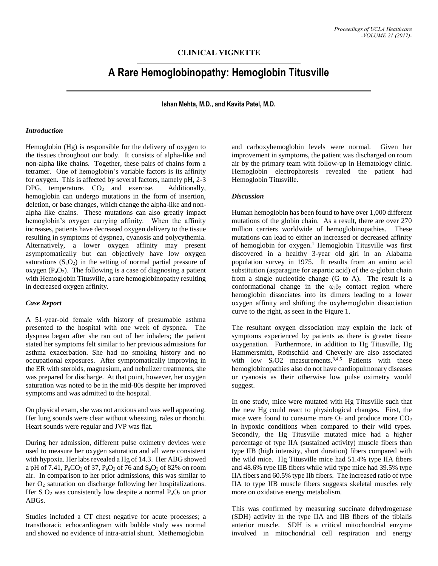## **CLINICAL VIGNETTE**

# **A Rare Hemoglobinopathy: Hemoglobin Titusville**

**Ishan Mehta, M.D., and Kavita Patel, M.D.**

#### *Introduction*

Hemoglobin (Hg) is responsible for the delivery of oxygen to the tissues throughout our body. It consists of alpha-like and non-alpha like chains. Together, these pairs of chains form a tetramer. One of hemoglobin's variable factors is its affinity for oxygen. This is affected by several factors, namely pH, 2-3 DPG, temperature,  $CO<sub>2</sub>$  and exercise. Additionally, hemoglobin can undergo mutations in the form of insertion, deletion, or base changes, which change the alpha-like and nonalpha like chains. These mutations can also greatly impact hemoglobin's oxygen carrying affinity. When the affinity increases, patients have decreased oxygen delivery to the tissue resulting in symptoms of dyspnea, cyanosis and polycythemia. Alternatively, a lower oxygen affinity may present asymptomatically but can objectively have low oxygen saturations  $(S_aO_2)$  in the setting of normal partial pressure of oxygen  $(P_aO_2)$ . The following is a case of diagnosing a patient with Hemoglobin Titusville, a rare hemoglobinopathy resulting in decreased oxygen affinity.

#### *Case Report*

A 51-year-old female with history of presumable asthma presented to the hospital with one week of dyspnea. The dyspnea began after she ran out of her inhalers; the patient stated her symptoms felt similar to her previous admissions for asthma exacerbation. She had no smoking history and no occupational exposures. After symptomatically improving in the ER with steroids, magnesium, and nebulizer treatments, she was prepared for discharge. At that point, however, her oxygen saturation was noted to be in the mid-80s despite her improved symptoms and was admitted to the hospital.

On physical exam, she was not anxious and was well appearing. Her lung sounds were clear without wheezing, rales or rhonchi. Heart sounds were regular and JVP was flat.

During her admission, different pulse oximetry devices were used to measure her oxygen saturation and all were consistent with hypoxia. Her labs revealed a Hg of 14.3. Her ABG showed a pH of 7.41,  $P_aCO_2$  of 37,  $P_aO_2$  of 76 and  $S_aO_2$  of 82% on room air. In comparison to her prior admissions, this was similar to her O<sub>2</sub> saturation on discharge following her hospitalizations. Her  $S_aO_2$  was consistently low despite a normal  $P_aO_2$  on prior ABGs.

Studies included a CT chest negative for acute processes; a transthoracic echocardiogram with bubble study was normal and showed no evidence of intra-atrial shunt. Methemoglobin

and carboxyhemoglobin levels were normal. Given her improvement in symptoms, the patient was discharged on room air by the primary team with follow-up in Hematology clinic. Hemoglobin electrophoresis revealed the patient had Hemoglobin Titusville.

### *Discussion*

Human hemoglobin has been found to have over 1,000 different mutations of the globin chain. As a result, there are over 270 million carriers worldwide of hemoglobinopathies. These mutations can lead to either an increased or decreased affinity of hemoglobin for oxygen. <sup>1</sup> Hemoglobin Titusville was first discovered in a healthy 3-year old girl in an Alabama population survey in 1975. It results from an amino acid substitution (asparagine for aspartic acid) of the  $\alpha$ -globin chain from a single nucleotide change (G to A). The result is a conformational change in the  $\alpha_1\beta_2$  contact region where hemoglobin dissociates into its dimers leading to a lower oxygen affinity and shifting the oxyhemoglobin dissociation curve to the right, as seen in the Figure 1.

The resultant oxygen dissociation may explain the lack of symptoms experienced by patients as there is greater tissue oxygenation. Furthermore, in addition to Hg Titusville, Hg Hammersmith, Rothschild and Cheverly are also associated with low  $S_0Q2$  measurements.<sup>3,4,5</sup> Patients with these hemoglobinopathies also do not have cardiopulmonary diseases or cyanosis as their otherwise low pulse oximetry would suggest.

In one study, mice were mutated with Hg Titusville such that the new Hg could react to physiological changes. First, the mice were found to consume more  $O_2$  and produce more  $CO_2$ in hypoxic conditions when compared to their wild types. Secondly, the Hg Titusville mutated mice had a higher percentage of type IIA (sustained activity) muscle fibers than type IIB (high intensity, short duration) fibers compared with the wild mice. Hg Titusville mice had 51.4% type IIA fibers and 48.6% type IIB fibers while wild type mice had 39.5% type IIA fibers and 60.5% type IIb fibers. The increased ratio of type IIA to type IIB muscle fibers suggests skeletal muscles rely more on oxidative energy metabolism.

This was confirmed by measuring succinate dehydrogenase (SDH) activity in the type IIA and IIB fibers of the tibialis anterior muscle. SDH is a critical mitochondrial enzyme involved in mitochondrial cell respiration and energy